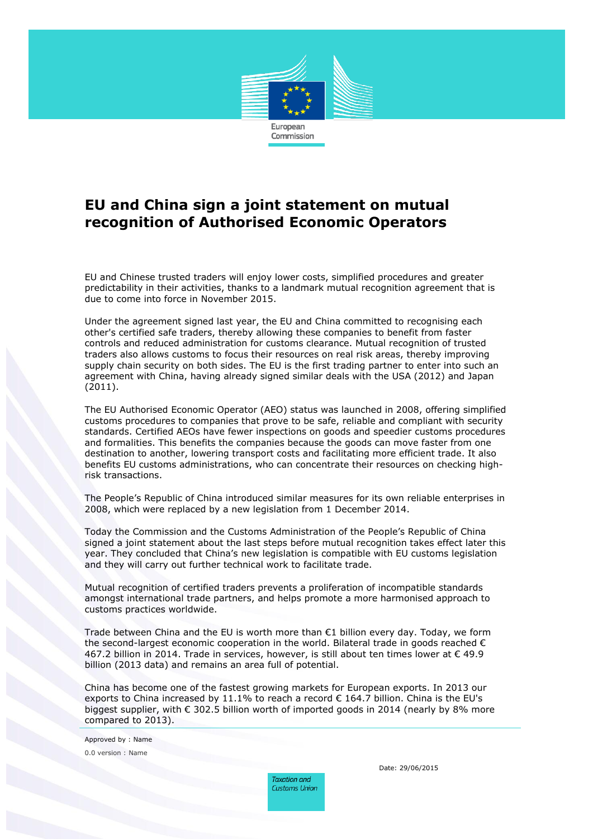

## **EU and China sign a joint statement on mutual recognition of Authorised Economic Operators**

EU and Chinese trusted traders will enjoy lower costs, simplified procedures and greater predictability in their activities, thanks to a landmark mutual recognition agreement that is due to come into force in November 2015.

Under the agreement signed last year, the EU and China committed to recognising each other's certified safe traders, thereby allowing these companies to benefit from faster controls and reduced administration for customs clearance. Mutual recognition of trusted traders also allows customs to focus their resources on real risk areas, thereby improving supply chain security on both sides. The EU is the first trading partner to enter into such an agreement with China, having already signed similar deals with the USA (2012) and Japan (2011).

The EU Authorised Economic Operator (AEO) status was launched in 2008, offering simplified customs procedures to companies that prove to be safe, reliable and compliant with security standards. Certified AEOs have fewer inspections on goods and speedier customs procedures and formalities. This benefits the companies because the goods can move faster from one destination to another, lowering transport costs and facilitating more efficient trade. It also benefits EU customs administrations, who can concentrate their resources on checking highrisk transactions.

The People's Republic of China introduced similar measures for its own reliable enterprises in 2008, which were replaced by a new legislation from 1 December 2014.

Today the Commission and the Customs Administration of the People's Republic of China signed a joint statement about the last steps before mutual recognition takes effect later this year. They concluded that China's new legislation is compatible with EU customs legislation and they will carry out further technical work to facilitate trade.

Mutual recognition of certified traders prevents a proliferation of incompatible standards amongst international trade partners, and helps promote a more harmonised approach to customs practices worldwide.

Trade between China and the EU is worth more than  $\epsilon$ 1 billion every day. Today, we form the second-largest economic cooperation in the world. Bilateral trade in goods reached  $\epsilon$ 467.2 billion in 2014. Trade in services, however, is still about ten times lower at  $\epsilon$  49.9 billion (2013 data) and remains an area full of potential.

China has become one of the fastest growing markets for European exports. In 2013 our exports to China increased by 11.1% to reach a record  $\epsilon$  164.7 billion. China is the EU's biggest supplier, with € 302.5 billion worth of imported goods in 2014 (nearly by 8% more compared to 2013).

Approved by : Name 0.0 version : Name

> Taxation and **Customs Union**

Date: 29/06/2015